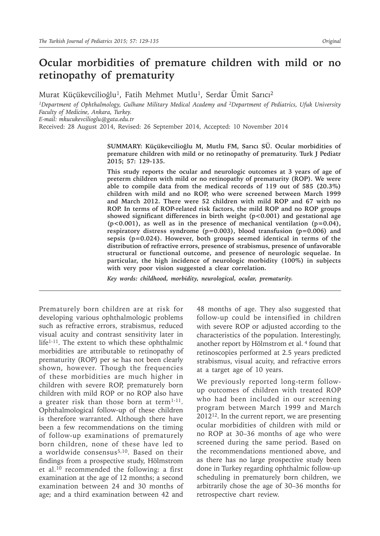# **Ocular morbidities of premature children with mild or no retinopathy of prematurity**

Murat Küçükevcilioğlu<sup>1</sup>, Fatih Mehmet Mutlu<sup>1</sup>, Serdar Ümit Sarıcı<sup>2</sup>

*1Department of Ophthalmology, Gulhane Military Medical Academy and 2Department of Pediatrics, Ufuk University Faculty of Medicine, Ankara, Turkey.* 

*E-mail: mkucukevcilioglu@gata.edu.tr*

Received: 28 August 2014, Revised: 26 September 2014, Accepted: 10 November 2014

**SUMMARY: Küçükevcilioğlu M, Mutlu FM, Sarıcı SÜ. Ocular morbidities of premature children with mild or no retinopathy of prematurity. Turk J Pediatr 2015; 57: 129-135.**

**This study reports the ocular and neurologic outcomes at 3 years of age of preterm children with mild or no retinopathy of prematurity (ROP). We were able to compile data from the medical records of 119 out of 585 (20.3%) children with mild and no ROP, who were screened between March 1999 and March 2012. There were 52 children with mild ROP and 67 with no ROP. In terms of ROP-related risk factors, the mild ROP and no ROP groups showed significant differences in birth weight (p<0.001) and gestational age (p<0.001), as well as in the presence of mechanical ventilation (p=0.04), respiratory distress syndrome (p=0.003), blood transfusion (p=0.006) and sepsis (p=0.024). However, both groups seemed identical in terms of the distribution of refractive errors, presence of strabismus, presence of unfavorable structural or functional outcome, and presence of neurologic sequelae. In particular, the high incidence of neurologic morbidity (100%) in subjects with very poor vision suggested a clear correlation.**

*Key words: childhood, morbidity, neurological, ocular, prematurity.*

Prematurely born children are at risk for developing various ophthalmologic problems such as refractive errors, strabismus, reduced visual acuity and contrast sensitivity later in life<sup>1-11</sup>. The extent to which these ophthalmic morbidities are attributable to retinopathy of prematurity (ROP) per se has not been clearly shown, however. Though the frequencies of these morbidities are much higher in children with severe ROP, prematurely born children with mild ROP or no ROP also have a greater risk than those born at term $1-11$ . Ophthalmological follow-up of these children is therefore warranted. Although there have been a few recommendations on the timing of follow-up examinations of prematurely born children, none of these have led to a worldwide consensus5,10. Based on their findings from a prospective study, Hölmstrom et al.<sup>10</sup> recommended the following: a first examination at the age of 12 months; a second examination between 24 and 30 months of age; and a third examination between 42 and

48 months of age. They also suggested that follow-up could be intensified in children with severe ROP or adjusted according to the characteristics of the population. Interestingly, another report by Hölmstrom et al. 4 found that retinoscopies performed at 2.5 years predicted strabismus, visual acuity, and refractive errors at a target age of 10 years.

We previously reported long-term followup outcomes of children with treated ROP who had been included in our screening program between March 1999 and March  $2012^{12}$ . In the current report, we are presenting ocular morbidities of children with mild or no ROP at 30–36 months of age who were screened during the same period. Based on the recommendations mentioned above, and as there has no large prospective study been done in Turkey regarding ophthalmic follow-up scheduling in prematurely born children, we arbitrarily chose the age of 30–36 months for retrospective chart review.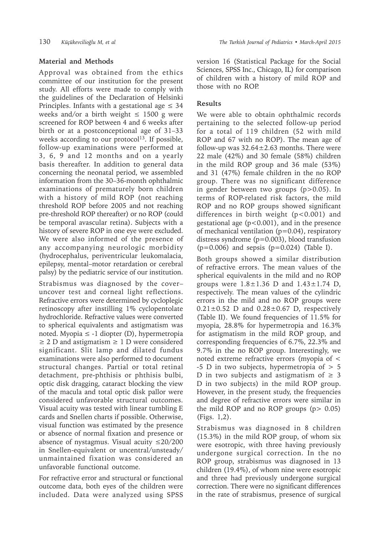Approval was obtained from the ethics committee of our institution for the present study. All efforts were made to comply with the guidelines of the Declaration of Helsinki Principles. Infants with a gestational age  $\leq 34$ weeks and/or a birth weight  $\leq$  1500 g were screened for ROP between 4 and 6 weeks after birth or at a postconceptional age of 31–33 weeks according to our protocol<sup>13</sup>. If possible, follow-up examinations were performed at 3, 6, 9 and 12 months and on a yearly basis thereafter. In addition to general data concerning the neonatal period, we assembled information from the 30–36-month ophthalmic examinations of prematurely born children with a history of mild ROP (not reaching threshold ROP before 2005 and not reaching pre-threshold ROP thereafter) or no ROP (could be temporal avascular retina). Subjects with a history of severe ROP in one eye were excluded. We were also informed of the presence of any accompanying neurologic morbidity (hydrocephalus, periventricular leukomalacia, epilepsy, mental–motor retardation or cerebral palsy) by the pediatric service of our institution.

Strabismus was diagnosed by the cover– uncover test and corneal light reflections. Refractive errors were determined by cycloplegic retinoscopy after instilling 1% cyclopentolate hydrochloride. Refractive values were converted to spherical equivalents and astigmatism was noted. Myopia ≤ -1 diopter  $(D)$ , hypermetropia  $\geq$  2 D and astigmatism  $\geq$  1 D were considered significant. Slit lamp and dilated fundus examinations were also performed to document structural changes. Partial or total retinal detachment, pre-phthisis or phthisis bulbi, optic disk dragging, cataract blocking the view of the macula and total optic disk pallor were considered unfavorable structural outcomes. Visual acuity was tested with linear tumbling E cards and Snellen charts if possible. Otherwise, visual function was estimated by the presence or absence of normal fixation and presence or absence of nystagmus. Visual acuity ≤20/200 in Snellen-equivalent or uncentral/unsteady/ unmaintained fixation was considered an unfavorable functional outcome.

For refractive error and structural or functional outcome data, both eyes of the children were included. Data were analyzed using SPSS version 16 (Statistical Package for the Social Sciences, SPSS Inc., Chicago, IL) for comparison of children with a history of mild ROP and those with no ROP.

## **Results**

We were able to obtain ophthalmic records pertaining to the selected follow-up period for a total of 119 children (52 with mild ROP and 67 with no ROP). The mean age of follow-up was  $32.64 \pm 2.63$  months. There were 22 male (42%) and 30 female (58%) children in the mild ROP group and 36 male (53%) and 31 (47%) female children in the no ROP group. There was no significant difference in gender between two groups (p>0.05). In terms of ROP-related risk factors, the mild ROP and no ROP groups showed significant differences in birth weight (p<0.001) and gestational age (p<0.001), and in the presence of mechanical ventilation (p=0.04), respiratory distress syndrome (p=0.003), blood transfusion  $(p=0.006)$  and sepsis  $(p=0.024)$  (Table I).

Both groups showed a similar distribution of refractive errors. The mean values of the spherical equivalents in the mild and no ROP groups were  $1.8 \pm 1.36$  D and  $1.43 \pm 1.74$  D, respectively. The mean values of the cylindric errors in the mild and no ROP groups were  $0.21 \pm 0.52$  D and  $0.28 \pm 0.67$  D, respectively (Table II). We found frequencies of 11.5% for myopia, 28.8% for hypermetropia and 16.3% for astigmatism in the mild ROP group, and corresponding frequencies of 6.7%, 22.3% and 9.7% in the no ROP group. Interestingly, we noted extreme refractive errors (myopia of < -5 D in two subjects, hypermetropia of  $> 5$ D in two subjects and astigmatism of  $\geq$  3 D in two subjects) in the mild ROP group. However, in the present study, the frequencies and degree of refractive errors were similar in the mild ROP and no ROP groups  $(p > 0.05)$ (Figs. 1,2).

Strabismus was diagnosed in 8 children (15.3%) in the mild ROP group, of whom six were esotropic, with three having previously undergone surgical correction. In the no ROP group, strabismus was diagnosed in 13 children (19.4%), of whom nine were esotropic and three had previously undergone surgical correction. There were no significant differences in the rate of strabismus, presence of surgical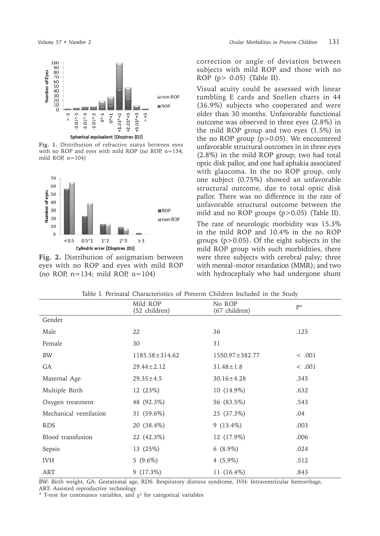

**Fig. 1.** Distribution of refractive status between eyes with no ROP and eyes with mild ROP (no ROP, n=134; mild ROP,  $n=104$ )



**Fig. 2.** Distribution of astigmatism between eyes with no ROP and eyes with mild ROP (no ROP, n=134; mild ROP, n=104)

correction or angle of deviation between subjects with mild ROP and those with no ROP (p> 0.05) (Table II).

Visual acuity could be assessed with linear tumbling E cards and Snellen charts in 44 (36.9%) subjects who cooperated and were older than 30 months. Unfavorable functional outcome was observed in three eyes (2.8%) in the mild ROP group and two eyes (1.5%) in the no ROP group  $(p>0.05)$ . We encountered unfavorable structural outcomes in in three eyes (2.8%) in the mild ROP group; two had total optic disk pallor, and one had aphakia associated with glaucoma. In the no ROP group, only one subject (0.75%) showed an unfavorable structural outcome, due to total optic disk pallor. There was no difference in the rate of unfavorable structural outcome between the mild and no ROP groups (p>0.05) (Table II). The rate of neurologic morbidity was 15.3% in the mild ROP and 10.4% in the no ROP groups (p>0.05). Of the eight subjects in the mild ROP group with such morbidities, there were three subjects with cerebral palsy; three with mental–motor retardation (MMR); and two with hydrocephaly who had undergone shunt

|                        | Mild ROP<br>(52 children) | No ROP<br>(67 children) | $P^*$       |
|------------------------|---------------------------|-------------------------|-------------|
| Gender                 |                           |                         |             |
| Male                   | 22                        | 36                      | .125        |
| Female                 | 30                        | 31                      |             |
| <b>BW</b>              | $1185.58 \pm 314.62$      | $1550.97 \pm 382.77$    | $\leq .001$ |
| GA                     | $29.44 \pm 2.12$          | $31.48 \pm 1.8$         | < .001      |
| Maternal Age           | $29.35 \pm 4.5$           | $30.16 \pm 4.28$        | .345        |
| Multiple Birth         | 12 (23%)                  | $10(14.9\%)$            | .632        |
| Oxygen treatment       | 48 (92.3%)                | 56 (83.5%)              | .543        |
| Mechanical ventilation | 31 (59.6%)                | 25 (37.3%)              | .04         |
| <b>RDS</b>             | 20 (38.4%)                | $9(13.4\%)$             | .003        |
| Blood transfusion      | 22 (42.3%)                | 12 (17.9%)              | .006        |
| Sepsis                 | 13 (25%)                  | $6(8.9\%)$              | .024        |
| <b>IVH</b>             | $5(9.6\%)$                | $4(5.9\%)$              | .512        |
| ART                    | $9(17.3\%)$               | 11 $(16.4\%)$           | .843        |

Table I. Perinatal Characteristics of Preterm Children Included in the Study

BW: Birth weight, GA: Gestational age, RDS: Respiratory distress syndrome, IVH: Intraventricular hemorrhage, ART: Assisted reproductive technology

\* T-test for continuous variables, and  $\chi^2$  for categorical variables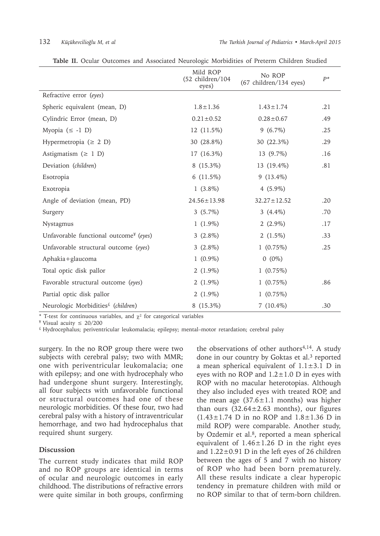|                                                    | Mild ROP<br>$(52 \text{ children}/104)$<br>eyes) | No ROP<br>(67 children/134 eyes) | $P^*$ |
|----------------------------------------------------|--------------------------------------------------|----------------------------------|-------|
| Refractive error (eyes)                            |                                                  |                                  |       |
| Spheric equivalent (mean, D)                       | $1.8 \pm 1.36$                                   | $1.43 \pm 1.74$                  | .21   |
| Cylindric Error (mean, D)                          | $0.21 \pm 0.52$                                  | $0.28 \pm 0.67$                  | .49   |
| Myopia $(\leq -1)$                                 | 12 (11.5%)                                       | $9(6.7\%)$                       | .25   |
| Hypermetropia ( $\geq$ 2 D)                        | 30 (28.8%)                                       | 30 (22.3%)                       | .29   |
| Astigmatism ( $\geq 1$ D)                          | 17 (16.3%)                                       | 13 (9.7%)                        | .16   |
| Deviation (children)                               | $8(15.3\%)$                                      | 13 (19.4%)                       | .81   |
| Esotropia                                          | 6 $(11.5\%)$                                     | $9(13.4\%)$                      |       |
| Exotropia                                          | $1(3.8\%)$                                       | $4(5.9\%)$                       |       |
| Angle of deviation (mean, PD)                      | $24.56 \pm 13.98$                                | $32.27 \pm 12.52$                | .20   |
| Surgery                                            | $3(5.7\%)$                                       | 3 $(4.4\%)$                      | .70   |
| Nystagmus                                          | $1(1.9\%)$                                       | $2(2.9\%)$                       | .17   |
| Unfavorable functional outcome <sup>¥</sup> (eyes) | $3(2.8\%)$                                       | 2 $(1.5\%)$                      | .33   |
| Unfavorable structural outcome (eyes)              | $3(2.8\%)$                                       | $1(0.75\%)$                      | .25   |
| Aphakia+glaucoma                                   | $1(0.9\%)$                                       | $0(0\%)$                         |       |
| Total optic disk pallor                            | $2(1.9\%)$                                       | 1(0.75%)                         |       |
| Favorable structural outcome (eyes)                | $2(1.9\%)$                                       | 1(0.75%)                         | .86   |
| Partial optic disk pallor                          | 2 $(1.9\%)$                                      | 1(0.75%)                         |       |
| Neurologic Morbidities <sup>£</sup> (children)     | $8(15.3\%)$                                      | $7(10.4\%)$                      | .30   |

**Table II.** Ocular Outcomes and Associated Neurologic Morbidities of Preterm Children Studied

\* T-test for continuous variables, and  $\chi^2$  for categorical variables

¥ Visual acuity ≤ 20/200

£ Hydrocephalus; periventricular leukomalacia; epilepsy; mental–motor retardation; cerebral palsy

surgery. In the no ROP group there were two subjects with cerebral palsy; two with MMR; one with periventricular leukomalacia; one with epilepsy; and one with hydrocephaly who had undergone shunt surgery. Interestingly, all four subjects with unfavorable functional or structural outcomes had one of these neurologic morbidities. Of these four, two had cerebral palsy with a history of intraventricular hemorrhage, and two had hydrocephalus that required shunt surgery.

### **Discussion**

The current study indicates that mild ROP and no ROP groups are identical in terms of ocular and neurologic outcomes in early childhood. The distributions of refractive errors were quite similar in both groups, confirming

the observations of other authors $4,14$ . A study done in our country by Goktas et al.<sup>3</sup> reported a mean spherical equivalent of  $1.1 \pm 3.1$  D in eyes with no ROP and  $1.2 \pm 1.0$  D in eyes with ROP with no macular heterotopias. Although they also included eyes with treated ROP, and the mean age  $(37.6 \pm 1.1 \text{ months})$  was higher than ours  $(32.64 \pm 2.63$  months), our figures  $(1.43 \pm 1.74)$  D in no ROP and  $1.8 \pm 1.36$  D in mild ROP) were comparable. Another study, by Ozdemir et al.<sup>8</sup>, reported a mean spherical equivalent of  $1.46 \pm 1.26$  D in the right eyes and 1.22±0.91 D in the left eyes of 26 children between the ages of 5 and 7 with no history of ROP who had been born prematurely. All these results indicate a clear hyperopic tendency in premature children with mild or no ROP similar to that of term-born children.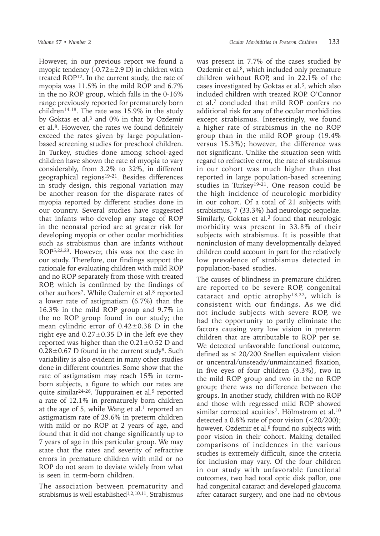However, in our previous report we found a myopic tendency  $(-0.72 \pm 2.9 \text{ D})$  in children with treated ROP<sup>12</sup>. In the current study, the rate of myopia was 11.5% in the mild ROP and 6.7% in the no ROP group, which falls in the 0-16% range previously reported for prematurely born children<sup>14-18</sup>. The rate was 15.9% in the study by Goktas et al.<sup>3</sup> and 0% in that by Ozdemir et al.<sup>8</sup>. However, the rates we found definitely exceed the rates given by large populationbased screening studies for preschool children. In Turkey, studies done among school-aged children have shown the rate of myopia to vary considerably, from 3.2% to 32%, in different geographical regions<sup>19-21</sup>. Besides differences in study design, this regional variation may be another reason for the disparate rates of myopia reported by different studies done in our country. Several studies have suggested that infants who develop any stage of ROP in the neonatal period are at greater risk for developing myopia or other ocular morbidities such as strabismus than are infants without ROP5,22,23. However, this was not the case in our study. Therefore, our findings support the rationale for evaluating children with mild ROP and no ROP separately from those with treated ROP, which is confirmed by the findings of other authors<sup>7</sup>. While Ozdemir et al.<sup>8</sup> reported a lower rate of astigmatism (6.7%) than the 16.3% in the mild ROP group and 9.7% in the no ROP group found in our study; the mean cylindric error of  $0.42 \pm 0.38$  D in the right eye and  $0.27 \pm 0.35$  D in the left eye they reported was higher than the  $0.21 \pm 0.52$  D and  $0.28 \pm 0.67$  D found in the current study<sup>8</sup>. Such variability is also evident in many other studies done in different countries. Some show that the rate of astigmatism may reach 15% in termborn subjects, a figure to which our rates are quite similar<sup>24-26</sup>. Tuppurainen et al.<sup>9</sup> reported a rate of 12.1% in prematurely born children at the age of 5, while Wang et al.<sup>1</sup> reported an astigmatism rate of 29.6% in preterm children with mild or no ROP at 2 years of age, and found that it did not change significantly up to 7 years of age in this particular group. We may state that the rates and severity of refractive errors in premature children with mild or no ROP do not seem to deviate widely from what is seen in term-born children.

The association between prematurity and strabismus is well established<sup>1,2,10,11</sup>. Strabismus

was present in 7.7% of the cases studied by Ozdemir et al.<sup>8</sup>, which included only premature children without ROP, and in 22.1% of the cases investigated by Goktas et al.<sup>3</sup>, which also included children with treated ROP. O'Connor et al.7 concluded that mild ROP confers no additional risk for any of the ocular morbidities except strabismus. Interestingly, we found a higher rate of strabismus in the no ROP group than in the mild ROP group (19.4% versus 15.3%); however, the difference was not significant. Unlike the situation seen with regard to refractive error, the rate of strabismus in our cohort was much higher than that reported in large population-based screening studies in Turkey<sup>19-21</sup>. One reason could be the high incidence of neurologic morbidity in our cohort. Of a total of 21 subjects with strabismus, 7 (33.3%) had neurologic sequelae. Similarly, Goktas et al.<sup>3</sup> found that neurologic morbidity was present in 33.8% of their subjects with strabismus. It is possible that noninclusion of many developmentally delayed children could account in part for the relatively low prevalence of strabismus detected in population-based studies.

The causes of blindness in premature children are reported to be severe ROP, congenital cataract and optic atrophy18,22, which is consistent with our findings. As we did not include subjects with severe ROP, we had the opportunity to partly eliminate the factors causing very low vision in preterm children that are attributable to ROP per se. We detected unfavorable functional outcome, defined as  $\leq 20/200$  Snellen equivalent vision or uncentral/unsteady/unmaintained fixation, in five eyes of four children (3.3%), two in the mild ROP group and two in the no ROP group; there was no difference between the groups. In another study, children with no ROP and those with regressed mild ROP showed similar corrected acuities<sup>7</sup>. Hölmstrom et al.<sup>10</sup> detected a 0.8% rate of poor vision (<20/200); however, Ozdemir et al.<sup>8</sup> found no subjects with poor vision in their cohort. Making detailed comparisons of incidences in the various studies is extremely difficult, since the criteria for inclusion may vary. Of the four children in our study with unfavorable functional outcomes, two had total optic disk pallor, one had congenital cataract and developed glaucoma after cataract surgery, and one had no obvious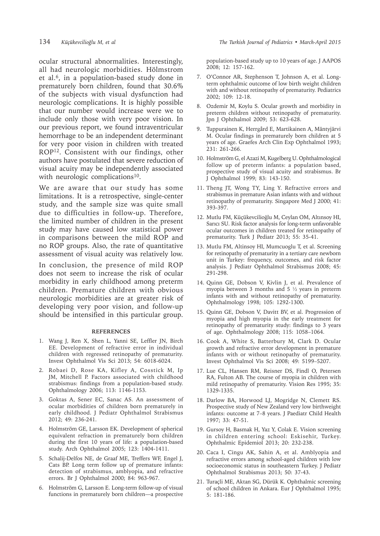ocular structural abnormalities. Interestingly, all had neurologic morbidities. Hölmstrom et al.<sup>6</sup>, in a population-based study done in prematurely born children, found that 30.6% of the subjects with visual dysfunction had neurologic complications. It is highly possible that our number would increase were we to include only those with very poor vision. In our previous report, we found intraventricular hemorrhage to be an independent determinant for very poor vision in children with treated ROP12. Consistent with our findings, other authors have postulated that severe reduction of visual acuity may be independently associated with neurologic complications<sup>10</sup>.

We are aware that our study has some limitations. It is a retrospective, single-center study, and the sample size was quite small due to difficulties in follow-up. Therefore, the limited number of children in the present study may have caused low statistical power in comparisons between the mild ROP and no ROP groups. Also, the rate of quantitative assessment of visual acuity was relatively low.

In conclusion, the presence of mild ROP does not seem to increase the risk of ocular morbidity in early childhood among preterm children. Premature children with obvious neurologic morbidities are at greater risk of developing very poor vision, and follow-up should be intensified in this particular group.

### **REFERENCES**

- 1. Wang J, Ren X, Shen L, Yanni SE, Leffler JN, Birch EE. Development of refractive error in individual children with regressed retinopathy of prematurity. Invest Ophthalmol Vis Sci 2013; 54: 6018-6024.
- 2. Robaei D, Rose KA, Kifley A, Cosstick M, Ip JM, Mitchell P. Factors associated with childhood strabismus: findings from a population-based study. Ophthalmology 2006; 113: 1146-1153.
- 3. Goktas A, Sener EC, Sanac AS. An assessment of ocular morbidities of children born prematurely in early childhood. J Pediatr Ophthalmol Strabismus 2012; 49: 236-241.
- 4. Holmström GE, Larsson EK. Development of spherical equivalent refraction in prematurely born children during the first 10 years of life: a population-based study. Arch Ophthalmol 2005; 123: 1404-1411.
- 5. Schalij-Delfos NE, de Graaf ME, Treffers WF, Engel J, Cats BP. Long term follow up of premature infants: detection of strabismus, amblyopia, and refractive errors. Br J Ophthalmol 2000; 84: 963-967.
- 6. Holmström G, Larsson E. Long-term follow-up of visual functions in prematurely born children—a prospective

population-based study up to 10 years of age. J AAPOS 2008; 12: 157-162.

- 7. O'Connor AR, Stephenson T, Johnson A, et al. Longterm ophthalmic outcome of low birth weight children with and without retinopathy of prematurity. Pediatrics 2002; 109: 12-18.
- 8. Ozdemir M, Koylu S. Ocular growth and morbidity in preterm children without retinopathy of prematurity. Jpn J Ophthalmol 2009; 53: 623-628.
- 9. Tuppurainen K, Herrgård E, Martikainen A, Mäntyjärvi M. Ocular findings in prematurely born children at 5 years of age. Graefes Arch Clin Exp Ophthalmol 1993; 231: 261-266.
- 10. Holmström G, el Azazi M, Kugelberg U. Ophthalmological follow up of preterm infants: a population based, prospective study of visual acuity and strabismus. Br J Ophthalmol 1999; 83: 143-150.
- 11. Theng JT, Wong TY, Ling Y. Refractive errors and strabismus in premature Asian infants with and without retinopathy of prematurity. Singapore Med J 2000; 41: 393-397.
- 12. Mutlu FM, Küçükevcilioğlu M, Ceylan OM, Altınsoy HI, Sarıcı SU. Risk factor analysis for long-term unfavorable ocular outcomes in children treated for retinopathy of prematurity. Turk J Pediatr 2013; 55: 35-41.
- 13. Mutlu FM, Altinsoy HI, Mumcuoglu T, et al. Screening for retinopathy of prematurity in a tertiary care newborn unit in Turkey: frequency, outcomes, and risk factor analysis. J Pediatr Ophthalmol Strabismus 2008; 45: 291-298.
- 14. Quinn GE, Dobson V, Kivlin J, et al. Prevalence of myopia between 3 months and 5 ½ years in preterm infants with and without retinopathy of prematurity. Ophthalmology 1998; 105: 1292-1300.
- 15. Quinn GE, Dobson V, Davitt BV, et al. Progression of myopia and high myopia in the early treatment for retinopathy of prematurity study: findings to 3 years of age. Ophthalmology 2008; 115: 1058–1064.
- 16. Cook A, White S, Batterbury M, Clark D. Ocular growth and refractive error development in premature infants with or without retinopathy of prematurity. Invest Ophthalmol Vis Sci 2008; 49: 5199–5207.
- 17. Lue CL, Hansen RM, Reisner DS, Findl O, Petersen RA, Fulton AB. The course of myopia in children with mild retinopathy of prematurity. Vision Res 1995; 35: 1329-1335.
- 18. Darlow BA, Horwood LJ, Mogridge N, Clemett RS. Prospective study of New Zealand very low birthweight infants: outcome at 7–8 years. J Paediatr Child Health 1997; 33: 47-51.
- 19. Gursoy H, Basmak H, Yaz Y, Colak E. Vision screening in children entering school: Eskisehir, Turkey. Ophthalmic Epidemiol 2013; 20: 232-238.
- 20. Caca I, Cingu AK, Sahin A, et al. Amblyopia and refractive errors among school-aged children with low socioeconomic status in southeastern Turkey. J Pediatr Ophthalmol Strabismus 2013; 50: 37-43.
- 21. Turaçli ME, Aktan SG, Dürük K. Ophthalmic screening of school children in Ankara. Eur J Ophthalmol 1995; 5: 181-186.